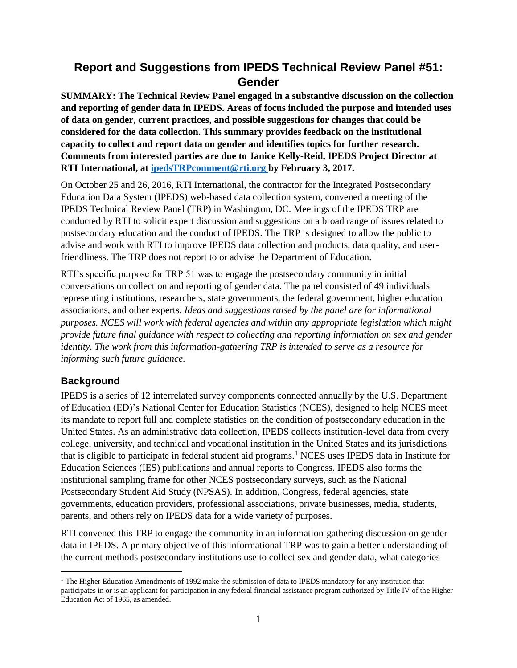# **Report and Suggestions from IPEDS Technical Review Panel #51: Gender**

**SUMMARY: The Technical Review Panel engaged in a substantive discussion on the collection and reporting of gender data in IPEDS. Areas of focus included the purpose and intended uses of data on gender, current practices, and possible suggestions for changes that could be considered for the data collection. This summary provides feedback on the institutional capacity to collect and report data on gender and identifies topics for further research. Comments from interested parties are due to Janice Kelly-Reid, IPEDS Project Director at RTI International, at [ipedsTRPcomment@rti.org](mailto:ipedsTRPcomment@rti.org) by February 3, 2017.** 

On October 25 and 26, 2016, RTI International, the contractor for the Integrated Postsecondary Education Data System (IPEDS) web-based data collection system, convened a meeting of the IPEDS Technical Review Panel (TRP) in Washington, DC. Meetings of the IPEDS TRP are conducted by RTI to solicit expert discussion and suggestions on a broad range of issues related to postsecondary education and the conduct of IPEDS. The TRP is designed to allow the public to advise and work with RTI to improve IPEDS data collection and products, data quality, and userfriendliness. The TRP does not report to or advise the Department of Education.

RTI's specific purpose for TRP 51 was to engage the postsecondary community in initial conversations on collection and reporting of gender data. The panel consisted of 49 individuals representing institutions, researchers, state governments, the federal government, higher education associations, and other experts. *Ideas and suggestions raised by the panel are for informational purposes. NCES will work with federal agencies and within any appropriate legislation which might provide future final guidance with respect to collecting and reporting information on sex and gender identity. The work from this information-gathering TRP is intended to serve as a resource for informing such future guidance.*

# **Background**

 $\overline{a}$ 

IPEDS is a series of 12 interrelated survey components connected annually by the U.S. Department of Education (ED)'s National Center for Education Statistics (NCES), designed to help NCES meet its mandate to report full and complete statistics on the condition of postsecondary education in the United States. As an administrative data collection, IPEDS collects institution-level data from every college, university, and technical and vocational institution in the United States and its jurisdictions that is eligible to participate in federal student aid programs.<sup>1</sup> NCES uses IPEDS data in Institute for Education Sciences (IES) publications and annual reports to Congress. IPEDS also forms the institutional sampling frame for other NCES postsecondary surveys, such as the National Postsecondary Student Aid Study (NPSAS). In addition, Congress, federal agencies, state governments, education providers, professional associations, private businesses, media, students, parents, and others rely on IPEDS data for a wide variety of purposes.

RTI convened this TRP to engage the community in an information-gathering discussion on gender data in IPEDS. A primary objective of this informational TRP was to gain a better understanding of the current methods postsecondary institutions use to collect sex and gender data, what categories

<sup>&</sup>lt;sup>1</sup> The Higher Education Amendments of 1992 make the submission of data to IPEDS mandatory for any institution that participates in or is an applicant for participation in any federal financial assistance program authorized by Title IV of the Higher Education Act of 1965, as amended.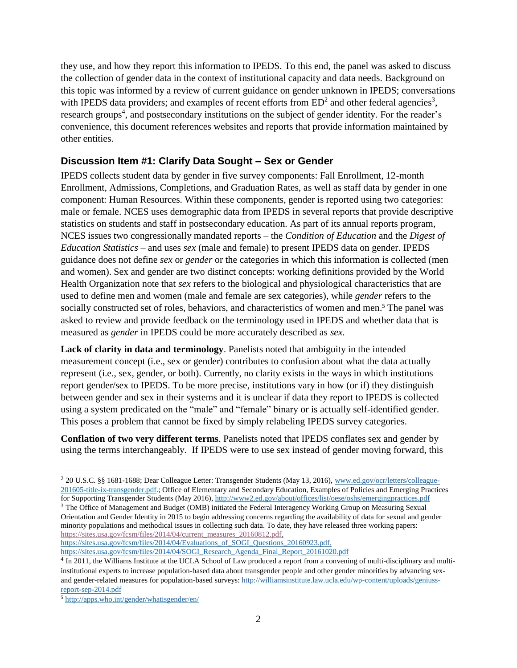they use, and how they report this information to IPEDS. To this end, the panel was asked to discuss the collection of gender data in the context of institutional capacity and data needs. Background on this topic was informed by a review of current guidance on gender unknown in IPEDS; conversations with IPEDS data providers; and examples of recent efforts from  $ED^2$  and other federal agencies<sup>3</sup>, research groups<sup>4</sup>, and postsecondary institutions on the subject of gender identity. For the reader's convenience, this document references websites and reports that provide information maintained by other entities.

## **Discussion Item #1: Clarify Data Sought – Sex or Gender**

IPEDS collects student data by gender in five survey components: Fall Enrollment, 12-month Enrollment, Admissions, Completions, and Graduation Rates, as well as staff data by gender in one component: Human Resources. Within these components, gender is reported using two categories: male or female. NCES uses demographic data from IPEDS in several reports that provide descriptive statistics on students and staff in postsecondary education. As part of its annual reports program, NCES issues two congressionally mandated reports – the *Condition of Education* and the *Digest of Education Statistics* – and uses *sex* (male and female) to present IPEDS data on gender. IPEDS guidance does not define *sex* or *gender* or the categories in which this information is collected (men and women). Sex and gender are two distinct concepts: working definitions provided by the World Health Organization note that *sex* refers to the biological and physiological characteristics that are used to define men and women (male and female are sex categories), while *gender* refers to the socially constructed set of roles, behaviors, and characteristics of women and men.<sup>5</sup> The panel was asked to review and provide feedback on the terminology used in IPEDS and whether data that is measured as *gender* in IPEDS could be more accurately described as *sex.*

**Lack of clarity in data and terminology**. Panelists noted that ambiguity in the intended measurement concept (i.e., sex or gender) contributes to confusion about what the data actually represent (i.e., sex, gender, or both). Currently, no clarity exists in the ways in which institutions report gender/sex to IPEDS. To be more precise, institutions vary in how (or if) they distinguish between gender and sex in their systems and it is unclear if data they report to IPEDS is collected using a system predicated on the "male" and "female" binary or is actually self-identified gender. This poses a problem that cannot be fixed by simply relabeling IPEDS survey categories.

**Conflation of two very different terms**. Panelists noted that IPEDS conflates sex and gender by using the terms interchangeably. If IPEDS were to use sex instead of gender moving forward, this

[https://sites.usa.gov/fcsm/files/2014/04/Evaluations\\_of\\_SOGI\\_Questions\\_20160923.pdf,](https://sites.usa.gov/fcsm/files/2014/04/Evaluations_of_SOGI_Questions_20160923.pdf) [https://sites.usa.gov/fcsm/files/2014/04/SOGI\\_Research\\_Agenda\\_Final\\_Report\\_20161020.pdf](https://sites.usa.gov/fcsm/files/2014/04/SOGI_Research_Agenda_Final_Report_20161020.pdf)

<sup>&</sup>lt;sup>2</sup> 20 U.S.C. §§ 1681-1688; Dear Colleague Letter: Transgender Students (May 13, 2016)[, www.ed.gov/ocr/letters/colleague-](http://www.ed.gov/ocr/letters/colleague-201605-title-ix-transgender.pdf)[201605-title-ix-transgender.pdf.](http://www.ed.gov/ocr/letters/colleague-201605-title-ix-transgender.pdf); Office of Elementary and Secondary Education, Examples of Policies and Emerging Practices for Supporting Transgender Students (May 2016)[, http://www2.ed.gov/about/offices/list/oese/oshs/emergingpractices.pdf](http://www2.ed.gov/about/offices/list/oese/oshs/emergingpractices.pdf)

<sup>3</sup> The Office of Management and Budget (OMB) initiated the Federal Interagency Working Group on Measuring Sexual Orientation and Gender Identity in 2015 to begin addressing concerns regarding the availability of data for sexual and gender minority populations and methodical issues in collecting such data. To date, they have released three working papers: [https://sites.usa.gov/fcsm/files/2014/04/current\\_measures\\_20160812.pdf,](https://sites.usa.gov/fcsm/files/2014/04/current_measures_20160812.pdf)

<sup>&</sup>lt;sup>4</sup> In 2011, the Williams Institute at the UCLA School of Law produced a report from a convening of multi-disciplinary and multiinstitutional experts to increase population-based data about transgender people and other gender minorities by advancing sexand gender-related measures for population-based surveys: [http://williamsinstitute.law.ucla.edu/wp-content/uploads/geniuss](http://williamsinstitute.law.ucla.edu/wp-content/uploads/geniuss-report-sep-2014.pdf)[report-sep-2014.pdf](http://williamsinstitute.law.ucla.edu/wp-content/uploads/geniuss-report-sep-2014.pdf)

<sup>5</sup> <http://apps.who.int/gender/whatisgender/en/>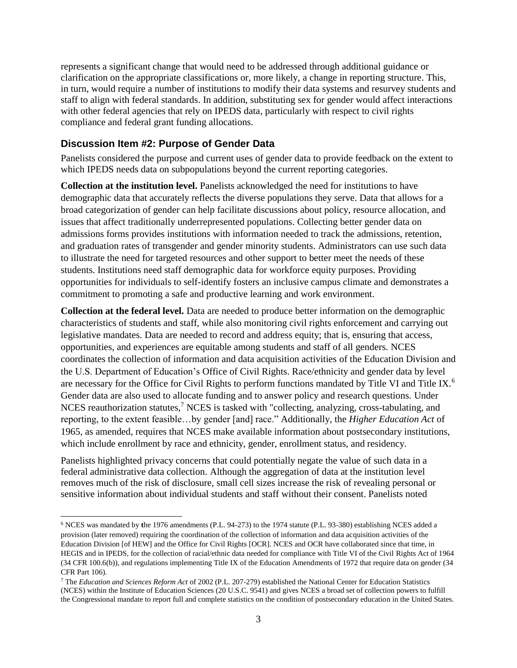represents a significant change that would need to be addressed through additional guidance or clarification on the appropriate classifications or, more likely, a change in reporting structure. This, in turn, would require a number of institutions to modify their data systems and resurvey students and staff to align with federal standards. In addition, substituting sex for gender would affect interactions with other federal agencies that rely on IPEDS data, particularly with respect to civil rights compliance and federal grant funding allocations.

#### **Discussion Item #2: Purpose of Gender Data**

Panelists considered the purpose and current uses of gender data to provide feedback on the extent to which IPEDS needs data on subpopulations beyond the current reporting categories.

**Collection at the institution level.** Panelists acknowledged the need for institutions to have demographic data that accurately reflects the diverse populations they serve. Data that allows for a broad categorization of gender can help facilitate discussions about policy, resource allocation, and issues that affect traditionally underrepresented populations. Collecting better gender data on admissions forms provides institutions with information needed to track the admissions, retention, and graduation rates of transgender and gender minority students. Administrators can use such data to illustrate the need for targeted resources and other support to better meet the needs of these students. Institutions need staff demographic data for workforce equity purposes. Providing opportunities for individuals to self-identify fosters an inclusive campus climate and demonstrates a commitment to promoting a safe and productive learning and work environment.

**Collection at the federal level.** Data are needed to produce better information on the demographic characteristics of students and staff, while also monitoring civil rights enforcement and carrying out legislative mandates. Data are needed to record and address equity; that is, ensuring that access, opportunities, and experiences are equitable among students and staff of all genders. NCES coordinates the collection of information and data acquisition activities of the Education Division and the U.S. Department of Education's Office of Civil Rights. Race/ethnicity and gender data by level are necessary for the Office for Civil Rights to perform functions mandated by Title VI and Title IX.<sup>6</sup> Gender data are also used to allocate funding and to answer policy and research questions. Under NCES reauthorization statutes,<sup>7</sup> NCES is tasked with "collecting, analyzing, cross-tabulating, and reporting, to the extent feasible…by gender [and] race." Additionally, the *Higher Education Act* of 1965, as amended, requires that NCES make available information about postsecondary institutions, which include enrollment by race and ethnicity, gender, enrollment status, and residency.

Panelists highlighted privacy concerns that could potentially negate the value of such data in a federal administrative data collection. Although the aggregation of data at the institution level removes much of the risk of disclosure, small cell sizes increase the risk of revealing personal or sensitive information about individual students and staff without their consent. Panelists noted

<sup>6</sup> NCES was mandated by **t**he 1976 amendments (P.L. 94-273) to the 1974 statute (P.L. 93-380) establishing NCES added a provision (later removed) requiring the coordination of the collection of information and data acquisition activities of the Education Division [of HEW] and the Office for Civil Rights [OCR]. NCES and OCR have collaborated since that time, in HEGIS and in IPEDS, for the collection of racial/ethnic data needed for compliance with Title VI of the Civil Rights Act of 1964 (34 CFR 100.6(b)), and regulations implementing Title IX of the Education Amendments of 1972 that require data on gender (34 CFR Part 106).

<sup>7</sup> The *Education and Sciences Reform Act* of 2002 (P.L. 207-279) established the National Center for Education Statistics (NCES) within the Institute of Education Sciences (20 U.S.C. 9541) and gives NCES a broad set of collection powers to fulfill the Congressional mandate to report full and complete statistics on the condition of postsecondary education in the United States.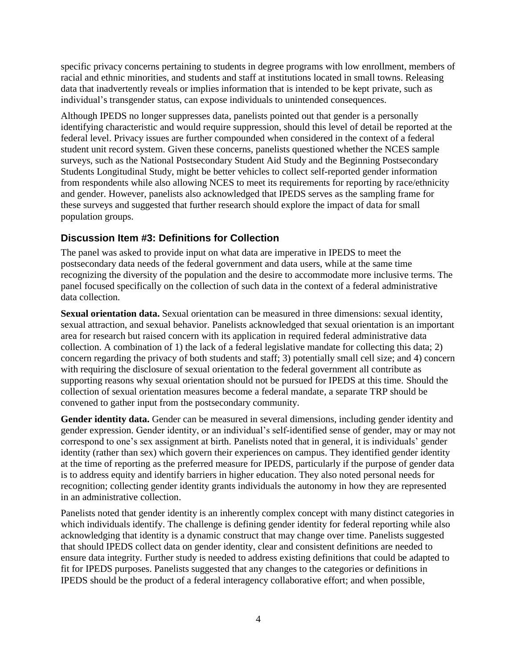specific privacy concerns pertaining to students in degree programs with low enrollment, members of racial and ethnic minorities, and students and staff at institutions located in small towns. Releasing data that inadvertently reveals or implies information that is intended to be kept private, such as individual's transgender status, can expose individuals to unintended consequences.

Although IPEDS no longer suppresses data, panelists pointed out that gender is a personally identifying characteristic and would require suppression, should this level of detail be reported at the federal level. Privacy issues are further compounded when considered in the context of a federal student unit record system. Given these concerns, panelists questioned whether the NCES sample surveys, such as the National Postsecondary Student Aid Study and the Beginning Postsecondary Students Longitudinal Study, might be better vehicles to collect self-reported gender information from respondents while also allowing NCES to meet its requirements for reporting by race/ethnicity and gender. However, panelists also acknowledged that IPEDS serves as the sampling frame for these surveys and suggested that further research should explore the impact of data for small population groups.

# **Discussion Item #3: Definitions for Collection**

The panel was asked to provide input on what data are imperative in IPEDS to meet the postsecondary data needs of the federal government and data users, while at the same time recognizing the diversity of the population and the desire to accommodate more inclusive terms. The panel focused specifically on the collection of such data in the context of a federal administrative data collection.

**Sexual orientation data.** Sexual orientation can be measured in three dimensions: sexual identity, sexual attraction, and sexual behavior. Panelists acknowledged that sexual orientation is an important area for research but raised concern with its application in required federal administrative data collection. A combination of 1) the lack of a federal legislative mandate for collecting this data; 2) concern regarding the privacy of both students and staff; 3) potentially small cell size; and 4) concern with requiring the disclosure of sexual orientation to the federal government all contribute as supporting reasons why sexual orientation should not be pursued for IPEDS at this time. Should the collection of sexual orientation measures become a federal mandate, a separate TRP should be convened to gather input from the postsecondary community.

**Gender identity data.** Gender can be measured in several dimensions, including gender identity and gender expression. Gender identity, or an individual's self-identified sense of gender, may or may not correspond to one's sex assignment at birth. Panelists noted that in general, it is individuals' gender identity (rather than sex) which govern their experiences on campus. They identified gender identity at the time of reporting as the preferred measure for IPEDS, particularly if the purpose of gender data is to address equity and identify barriers in higher education. They also noted personal needs for recognition; collecting gender identity grants individuals the autonomy in how they are represented in an administrative collection.

Panelists noted that gender identity is an inherently complex concept with many distinct categories in which individuals identify. The challenge is defining gender identity for federal reporting while also acknowledging that identity is a dynamic construct that may change over time. Panelists suggested that should IPEDS collect data on gender identity, clear and consistent definitions are needed to ensure data integrity. Further study is needed to address existing definitions that could be adapted to fit for IPEDS purposes. Panelists suggested that any changes to the categories or definitions in IPEDS should be the product of a federal interagency collaborative effort; and when possible,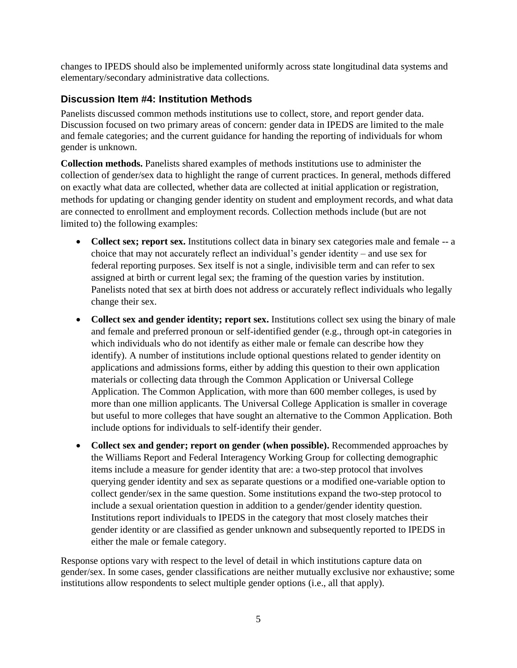changes to IPEDS should also be implemented uniformly across state longitudinal data systems and elementary/secondary administrative data collections.

## **Discussion Item #4: Institution Methods**

Panelists discussed common methods institutions use to collect, store, and report gender data. Discussion focused on two primary areas of concern: gender data in IPEDS are limited to the male and female categories; and the current guidance for handing the reporting of individuals for whom gender is unknown.

**Collection methods.** Panelists shared examples of methods institutions use to administer the collection of gender/sex data to highlight the range of current practices. In general, methods differed on exactly what data are collected, whether data are collected at initial application or registration, methods for updating or changing gender identity on student and employment records, and what data are connected to enrollment and employment records. Collection methods include (but are not limited to) the following examples:

- **Collect sex; report sex.** Institutions collect data in binary sex categories male and female -- a choice that may not accurately reflect an individual's gender identity – and use sex for federal reporting purposes. Sex itself is not a single, indivisible term and can refer to sex assigned at birth or current legal sex; the framing of the question varies by institution. Panelists noted that sex at birth does not address or accurately reflect individuals who legally change their sex.
- **Collect sex and gender identity; report sex.** Institutions collect sex using the binary of male and female and preferred pronoun or self-identified gender (e.g., through opt-in categories in which individuals who do not identify as either male or female can describe how they identify). A number of institutions include optional questions related to gender identity on applications and admissions forms, either by adding this question to their own application materials or collecting data through the Common Application or Universal College Application. The Common Application, with more than 600 member colleges, is used by more than one million applicants. The Universal College Application is smaller in coverage but useful to more colleges that have sought an alternative to the Common Application. Both include options for individuals to self-identify their gender.
- **Collect sex and gender; report on gender (when possible).** Recommended approaches by the Williams Report and Federal Interagency Working Group for collecting demographic items include a measure for gender identity that are: a two-step protocol that involves querying gender identity and sex as separate questions or a modified one-variable option to collect gender/sex in the same question. Some institutions expand the two-step protocol to include a sexual orientation question in addition to a gender/gender identity question. Institutions report individuals to IPEDS in the category that most closely matches their gender identity or are classified as gender unknown and subsequently reported to IPEDS in either the male or female category.

Response options vary with respect to the level of detail in which institutions capture data on gender/sex. In some cases, gender classifications are neither mutually exclusive nor exhaustive; some institutions allow respondents to select multiple gender options (i.e., all that apply).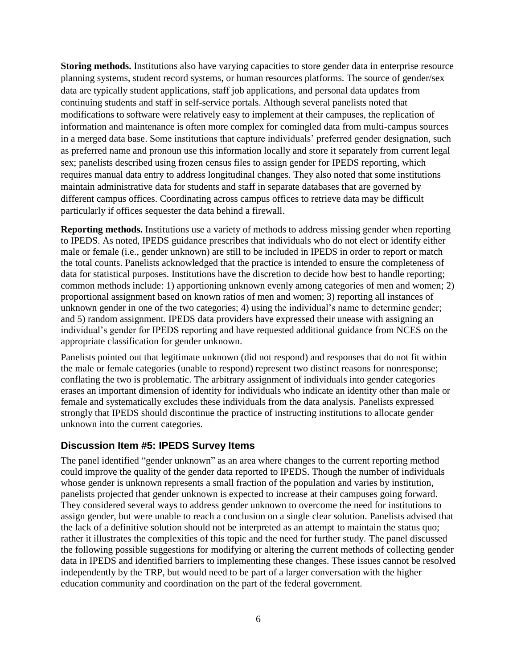**Storing methods.** Institutions also have varying capacities to store gender data in enterprise resource planning systems, student record systems, or human resources platforms. The source of gender/sex data are typically student applications, staff job applications, and personal data updates from continuing students and staff in self-service portals. Although several panelists noted that modifications to software were relatively easy to implement at their campuses, the replication of information and maintenance is often more complex for comingled data from multi-campus sources in a merged data base. Some institutions that capture individuals' preferred gender designation, such as preferred name and pronoun use this information locally and store it separately from current legal sex; panelists described using frozen census files to assign gender for IPEDS reporting, which requires manual data entry to address longitudinal changes. They also noted that some institutions maintain administrative data for students and staff in separate databases that are governed by different campus offices. Coordinating across campus offices to retrieve data may be difficult particularly if offices sequester the data behind a firewall.

**Reporting methods.** Institutions use a variety of methods to address missing gender when reporting to IPEDS. As noted, IPEDS guidance prescribes that individuals who do not elect or identify either male or female (i.e., gender unknown) are still to be included in IPEDS in order to report or match the total counts. Panelists acknowledged that the practice is intended to ensure the completeness of data for statistical purposes. Institutions have the discretion to decide how best to handle reporting; common methods include: 1) apportioning unknown evenly among categories of men and women; 2) proportional assignment based on known ratios of men and women; 3) reporting all instances of unknown gender in one of the two categories; 4) using the individual's name to determine gender; and 5) random assignment. IPEDS data providers have expressed their unease with assigning an individual's gender for IPEDS reporting and have requested additional guidance from NCES on the appropriate classification for gender unknown.

Panelists pointed out that legitimate unknown (did not respond) and responses that do not fit within the male or female categories (unable to respond) represent two distinct reasons for nonresponse; conflating the two is problematic. The arbitrary assignment of individuals into gender categories erases an important dimension of identity for individuals who indicate an identity other than male or female and systematically excludes these individuals from the data analysis. Panelists expressed strongly that IPEDS should discontinue the practice of instructing institutions to allocate gender unknown into the current categories.

#### **Discussion Item #5: IPEDS Survey Items**

The panel identified "gender unknown" as an area where changes to the current reporting method could improve the quality of the gender data reported to IPEDS. Though the number of individuals whose gender is unknown represents a small fraction of the population and varies by institution, panelists projected that gender unknown is expected to increase at their campuses going forward. They considered several ways to address gender unknown to overcome the need for institutions to assign gender, but were unable to reach a conclusion on a single clear solution. Panelists advised that the lack of a definitive solution should not be interpreted as an attempt to maintain the status quo; rather it illustrates the complexities of this topic and the need for further study. The panel discussed the following possible suggestions for modifying or altering the current methods of collecting gender data in IPEDS and identified barriers to implementing these changes. These issues cannot be resolved independently by the TRP, but would need to be part of a larger conversation with the higher education community and coordination on the part of the federal government.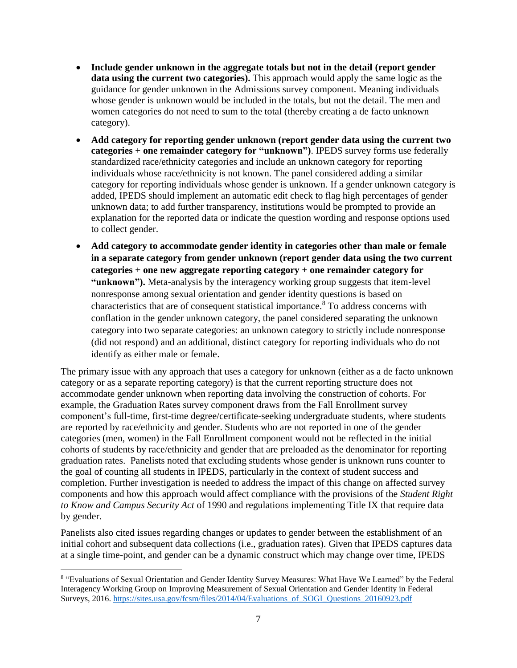- **Include gender unknown in the aggregate totals but not in the detail (report gender data using the current two categories).** This approach would apply the same logic as the guidance for gender unknown in the Admissions survey component. Meaning individuals whose gender is unknown would be included in the totals, but not the detail. The men and women categories do not need to sum to the total (thereby creating a de facto unknown category).
- **Add category for reporting gender unknown (report gender data using the current two categories + one remainder category for "unknown")**. IPEDS survey forms use federally standardized race/ethnicity categories and include an unknown category for reporting individuals whose race/ethnicity is not known. The panel considered adding a similar category for reporting individuals whose gender is unknown. If a gender unknown category is added, IPEDS should implement an automatic edit check to flag high percentages of gender unknown data; to add further transparency, institutions would be prompted to provide an explanation for the reported data or indicate the question wording and response options used to collect gender.
- **Add category to accommodate gender identity in categories other than male or female in a separate category from gender unknown (report gender data using the two current categories + one new aggregate reporting category + one remainder category for "unknown").** Meta-analysis by the interagency working group suggests that item-level nonresponse among sexual orientation and gender identity questions is based on characteristics that are of consequent statistical importance.<sup>8</sup> To address concerns with conflation in the gender unknown category, the panel considered separating the unknown category into two separate categories: an unknown category to strictly include nonresponse (did not respond) and an additional, distinct category for reporting individuals who do not identify as either male or female.

The primary issue with any approach that uses a category for unknown (either as a de facto unknown category or as a separate reporting category) is that the current reporting structure does not accommodate gender unknown when reporting data involving the construction of cohorts. For example, the Graduation Rates survey component draws from the Fall Enrollment survey component's full-time, first-time degree/certificate-seeking undergraduate students, where students are reported by race/ethnicity and gender. Students who are not reported in one of the gender categories (men, women) in the Fall Enrollment component would not be reflected in the initial cohorts of students by race/ethnicity and gender that are preloaded as the denominator for reporting graduation rates. Panelists noted that excluding students whose gender is unknown runs counter to the goal of counting all students in IPEDS, particularly in the context of student success and completion. Further investigation is needed to address the impact of this change on affected survey components and how this approach would affect compliance with the provisions of the *Student Right to Know and Campus Security Act* of 1990 and regulations implementing Title IX that require data by gender.

Panelists also cited issues regarding changes or updates to gender between the establishment of an initial cohort and subsequent data collections (i.e., graduation rates). Given that IPEDS captures data at a single time-point, and gender can be a dynamic construct which may change over time, IPEDS

 $\overline{a}$ 

<sup>8</sup> "Evaluations of Sexual Orientation and Gender Identity Survey Measures: What Have We Learned" by the Federal Interagency Working Group on Improving Measurement of Sexual Orientation and Gender Identity in Federal Surveys, 2016. [https://sites.usa.gov/fcsm/files/2014/04/Evaluations\\_of\\_SOGI\\_Questions\\_20160923.pdf](https://sites.usa.gov/fcsm/files/2014/04/Evaluations_of_SOGI_Questions_20160923.pdf)